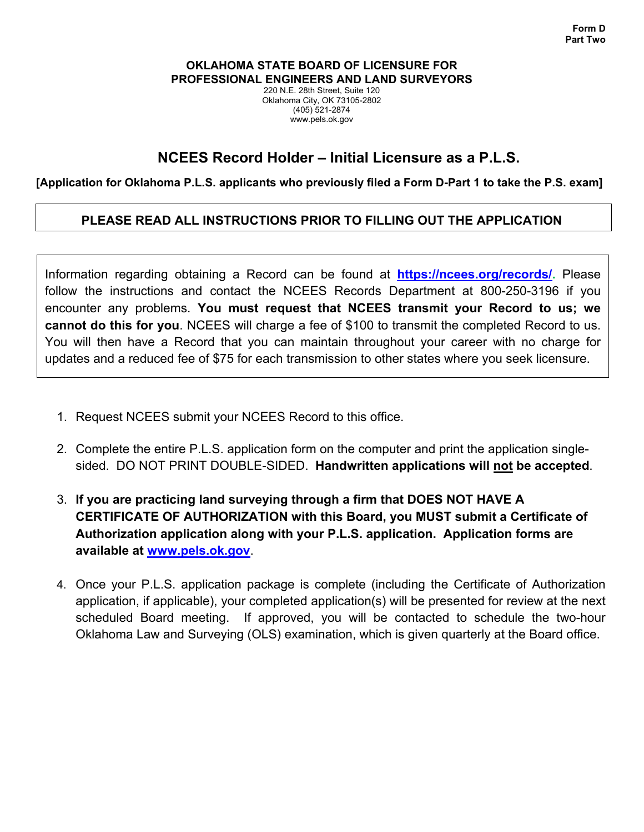#### **OKLAHOMA STATE BOARD OF LICENSURE FOR PROFESSIONAL ENGINEERS AND LAND SURVEYORS**

220 N.E. 28th Street, Suite 120 Oklahoma City, OK 73105-2802 (405) 521-2874 www.pels.ok.gov

# **NCEES Record Holder – Initial Licensure as a P.L.S.**

### **[Application for Oklahoma P.L.S. applicants who previously filed a Form D-Part 1 to take the P.S. exam]**

## **PLEASE READ ALL INSTRUCTIONS PRIOR TO FILLING OUT THE APPLICATION**

Information regarding obtaining a Record can be found at **https://ncees.org/records/.** Please follow the instructions and contact the NCEES Records Department at 800-250-3196 if you encounter any problems. **You must request that NCEES transmit your Record to us; we cannot do this for you**. NCEES will charge a fee of \$100 to transmit the completed Record to us. You will then have a Record that you can maintain throughout your career with no charge for updates and a reduced fee of \$75 for each transmission to other states where you seek licensure.

- 1. Request NCEES submit your NCEES Record to this office.
- 2. Complete the entire P.L.S. application form on the computer and print the application singlesided. DO NOT PRINT DOUBLE-SIDED. **Handwritten applications will not be accepted**.
- 3. **If you are practicing land surveying through a firm that DOES NOT HAVE A CERTIFICATE OF AUTHORIZATION with this Board, you MUST submit a Certificate of Authorization application along with your P.L.S. application. Application forms are available at www.pels.ok.gov**.
- 4. Once your P.L.S. application package is complete (including the Certificate of Authorization application, if applicable), your completed application(s) will be presented for review at the next scheduled Board meeting. If approved, you will be contacted to schedule the two-hour Oklahoma Law and Surveying (OLS) examination, which is given quarterly at the Board office.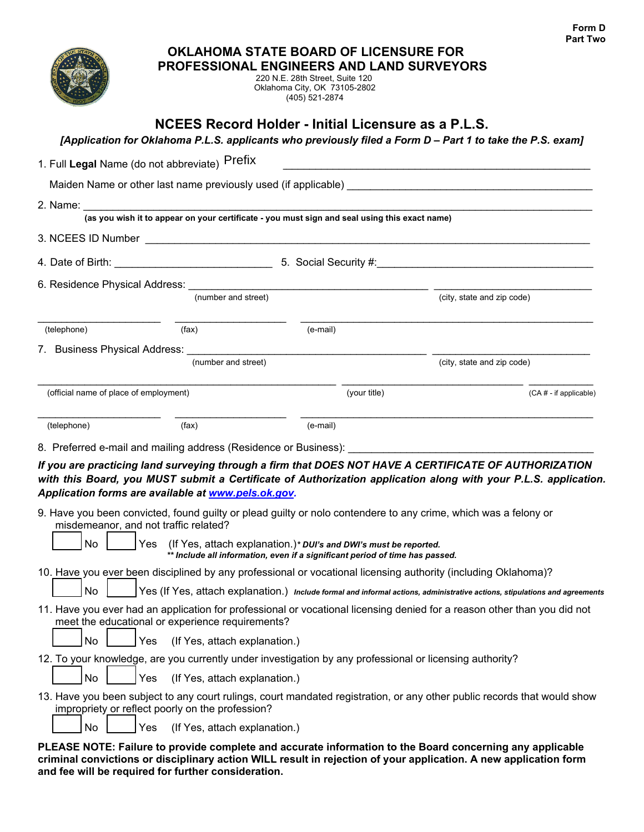

#### **OKLAHOMA STATE BOARD OF LICENSURE FOR PROFESSIONAL ENGINEERS AND LAND SURVEYORS**

220 N.E. 28th Street, Suite 120 Oklahoma City, OK 73105-2802 (405) 521-2874

# **NCEES Record Holder - Initial Licensure as a P.L.S.**

| [Application for Oklahoma P.L.S. applicants who previously filed a Form D – Part 1 to take the P.S. exam] |  |  |  |
|-----------------------------------------------------------------------------------------------------------|--|--|--|
|                                                                                                           |  |  |  |

| 1. Full Legal Name (do not abbreviate) Prefix                                                                                                                                                                                                                                             |                                                                                                                            |              |                            |                           |
|-------------------------------------------------------------------------------------------------------------------------------------------------------------------------------------------------------------------------------------------------------------------------------------------|----------------------------------------------------------------------------------------------------------------------------|--------------|----------------------------|---------------------------|
|                                                                                                                                                                                                                                                                                           | Maiden Name or other last name previously used (if applicable) example and all the settlements of the settlement           |              |                            |                           |
| 2. Name: $\_\_$                                                                                                                                                                                                                                                                           |                                                                                                                            |              |                            |                           |
|                                                                                                                                                                                                                                                                                           | (as you wish it to appear on your certificate - you must sign and seal using this exact name)                              |              |                            |                           |
|                                                                                                                                                                                                                                                                                           |                                                                                                                            |              |                            |                           |
|                                                                                                                                                                                                                                                                                           |                                                                                                                            |              |                            |                           |
| 6. Residence Physical Address: The Second Second Second Second Second Second Second Second Second Second Second Second Second Second Second Second Second Second Second Second Second Second Second Second Second Second Secon                                                            |                                                                                                                            |              |                            |                           |
|                                                                                                                                                                                                                                                                                           | (number and street)                                                                                                        |              | (city, state and zip code) |                           |
| (telephone)                                                                                                                                                                                                                                                                               | (fax)                                                                                                                      | (e-mail)     |                            |                           |
|                                                                                                                                                                                                                                                                                           |                                                                                                                            |              |                            |                           |
|                                                                                                                                                                                                                                                                                           | (number and street)                                                                                                        |              | (city, state and zip code) |                           |
| (official name of place of employment)                                                                                                                                                                                                                                                    |                                                                                                                            | (your title) |                            | $(CA \# - if applicable)$ |
| (telephone)                                                                                                                                                                                                                                                                               | (fax)                                                                                                                      | (e-mail)     |                            |                           |
| with this Board, you MUST submit a Certificate of Authorization application along with your P.L.S. application.<br>Application forms are available at www.pels.ok.gov.<br>9. Have you been convicted, found guilty or plead guilty or nolo contendere to any crime, which was a felony or |                                                                                                                            |              |                            |                           |
| misdemeanor, and not traffic related?<br>No                                                                                                                                                                                                                                               | Yes (If Yes, attach explanation.)* DUI's and DWI's must be reported.                                                       |              |                            |                           |
|                                                                                                                                                                                                                                                                                           | ** Include all information, even if a significant period of time has passed.                                               |              |                            |                           |
| 10. Have you ever been disciplined by any professional or vocational licensing authority (including Oklahoma)?                                                                                                                                                                            |                                                                                                                            |              |                            |                           |
| <b>No</b>                                                                                                                                                                                                                                                                                 | Yes (If Yes, attach explanation.) Include formal and informal actions, administrative actions, stipulations and agreements |              |                            |                           |
| 11. Have you ever had an application for professional or vocational licensing denied for a reason other than you did not                                                                                                                                                                  | meet the educational or experience requirements?                                                                           |              |                            |                           |
| No<br>Yes                                                                                                                                                                                                                                                                                 | (If Yes, attach explanation.)                                                                                              |              |                            |                           |
| 12. To your knowledge, are you currently under investigation by any professional or licensing authority?                                                                                                                                                                                  |                                                                                                                            |              |                            |                           |
| No<br>Yes                                                                                                                                                                                                                                                                                 | (If Yes, attach explanation.)                                                                                              |              |                            |                           |
| 13. Have you been subject to any court rulings, court mandated registration, or any other public records that would show<br>impropriety or reflect poorly on the profession?                                                                                                              |                                                                                                                            |              |                            |                           |
| No<br>Yes                                                                                                                                                                                                                                                                                 | (If Yes, attach explanation.)                                                                                              |              |                            |                           |
| PLEASE NOTE: Failure to provide complete and accurate information to the Board concerning any applicable<br>criminal convictions or disciplinary action WILL result in rejection of your application. A new application form                                                              |                                                                                                                            |              |                            |                           |

**and fee will be required for further consideration.**